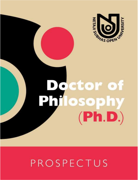

# **Doctor of<br>Philosophy**  $(Ph.D.)$

## PROSPECTUS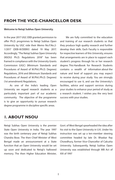#### **FROM THE VICE-CHANCELLOR DESK**

#### **Welcome to Netaji Subhas Open University.**

In the year 2017 UGC-DEB granted permission to offer Ph.D. progrmmes to Netaji Subhas Open University by UGC vide their Memo No.F.No.2- 1/2017 (DEB-III/DEBIV) dated 19 May 2017. Accordingly, "The Netaji Subhas Open University (NSOU) Ph.D. Regulations 2018" has been framed in compliance with the University Grants Commission (UGC) (Minimum Standards and Procedures of Award of M.Phil./Ph.D. Degrees) Regulations, 2016 and (Minimum Standards and Procedures of Award of M.Phil./Ph.D. Degrees) (1st amendment) Regulations.

As one of the India's leading Open University we regard research students as a particularly important part of our academic community. The objective of the programme is to give an opportunity to pursue research degree programme in discipline specific areas.

We are fully committed to the education and training of our research students so that they produce high quality research and further develop their skills. Each Faculty is responsible for respective learners of this University, ensures that arrangements are in place to support each student's progress through his or her research degree. This Handbook for Research Students contains a wealth of information about the nature and level of support you may expect to receive during your study. You are strongly encouraged to use it, and use the University's facilities, advice and support services during your studies to enhance your period of study as a research student. l wishes you the very best success with your studies.

#### **1. ABOUT NSOU**

Netaji Subhas Open University is the premier State Open University in India. The year 1997 was the birth centenary year of Netaji Subhas Chandra Bose. The then Chief Minister of West Bengal made an announcement at a State function that an Open University would be set up soon and dedicated to Netaji's hallowed memory. The then Higher Education Minister, Govt. of West Bengal spearheaded the idea after his visit to the Open University in U.K. Under his instruction was set up a ten-member steering committee headed by late Dr. Bhaskar Ray Chowdhury, former Vice-Chancellor of Calcutta University. Subsequently, Netaji Subhas Open University was established through WB Act of XIX of 1997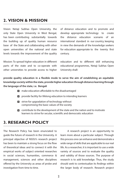#### **2. VISION & MISSION**

Vision: Netaji Subhas Open University, the only State Open University in West Bengal, has been contributing substantially towards the building up of quality human resource base of the State and collaborating with other open universities of the national and state levels towards the improvement of the quality of distance education and to promote and develop appropriate technology to create the distance education scenario of an international standard in our country, keeping in view the demands of the knowledge seekers for education appropriate to the twenty first century.

Mission: To spread higher education in different parts of the state and to co-operate with other universities to provide access to higher

education and to different skill enhancing educational programmes, Netaji Subhas Open University shall:

**provide quality education in a flexible mode to serve the aim of establishing an equitable knowledge society within the state, provide higher education through distance learning through the language of the state, i.e. Bengali**

- **n** make education affordable to the disadvantaged
- **p** provide facility for lifelong education to intending learners
- $\Box$  strive for upgradation of technology without compromising the basic values of the society
- contribute to the development of the state and the nation and to motivate learners to strive for secular, scientific and democratic education

#### **3. RESEARCH POLICY**

The Research Policy has been enunciated to guide the future of research in the University. A principal objective of NSOU's research project has been to maintain a strong focus on the flow of theoretical ideas and to connect it with the empirical works of subject oriented researches in social sciences, humanities, commerce & management, sciences and other disciplines offered by the University as areas of probe and investigation from time to time.

 A research project is an opportunity to learn more about a particular subject. Through this process one can enhance and demonstrate a wide range of skills that are applicable to our real life. As a researcher, it is important to use a wide variety of sources and to evaluate the quality and validity of those sources. The purpose of research is to add knowledge. Thus, the study should seek to contextualize its findings within the larger body of research. Research project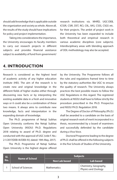should add knowledge that is applicable outside the organization and society as whole. Above all, the results of the study should have implications for policy and project implementation.

 Taking into considerations the importance, the University encourages its faculty members to carry out research projects in different subjects and provides financial assistance subject to availability of fund from government/ research institutions viz. MHRD, UGC-DEB, ICSSR, CSIR, DST, RCI, CIIL, IIAS, CSSS, CSGS etc. for their projects. The ambit of project work in the University has been expanded to include both theoretical and empirical research in various academic disciplines (core subjects). Interdisciplinary areas with blending approach of ODL methodology may also be accepted.

#### **4. INTRODUCTION**

Research is considered as the highest level of academic activity of any higher education institute (HEI). The aim of the research is to create new and original knowledge in the different fields of higher studies either through discovering new facts or by interpreting the existing available data in a fresh and innovative ways or it could also be a combination of these two means. It always aims to contribute new knowledge, facts and interpretation in the expanding domain of knowledge.

The Ph.D. programme of Netaji Subhas Open University conforms the Netaji Subhas Open University (NSOU) Ph.D. Regulations 2018 relating to award of Ph.D. degree and conducted with the approval of UGC (vide F. No.: 2-1/2017(DEB-III/DEB-IV); dated: 19th May, 2017).

The Ph.D. Programme of Netaji Subhas Open University is the highest degree offered by the University. The Programme follows all the rules and regulations framed time to time by the statutory authorities like UGC to ensure the quality of research. The University always practices the best possible means to follow the UGC Regulations in this regard. The registered students at NSOU shall have to follow strictly the procedure prescribed in the Ph.D. Prospectus and NSOU PH.D. Regulation 2018.

The Degree of Doctor of Philosophy (Ph.D.) shall be awarded to a candidate on the basis of original research work of merit incorporated in a thesis, recommended by a board of examiners and successfully defended by the candidate during a Viva-Voce.

Doctoral Programme leading to the degree of Ph.D. shall be offered in the following subjects in the five Schools of Studies of the University.

| SI.<br>No. | Name of School            | <b>Subjects</b>      |                                              |
|------------|---------------------------|----------------------|----------------------------------------------|
|            |                           | <b>Non Lab based</b> | 'Lab based                                   |
|            | <b>School of Sciences</b> | <b>Mathematics</b>   | Chemistry, Geography,<br>Physics and Zoology |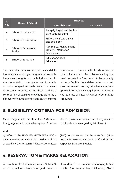| SI.<br>No.    | Name of School                           | <b>Subjects</b>                                              |                  |
|---------------|------------------------------------------|--------------------------------------------------------------|------------------|
|               |                                          | <b>Non Lab based</b>                                         | <b>Lab based</b> |
| $\mathcal{P}$ | <b>School of Humanities</b>              | Bengali, English and English<br>Language Teaching            |                  |
| 3             | <b>School of Social Sciences</b>         | History, Political Science<br>and Sociology                  |                  |
| 4             | School of Professional<br><b>Studies</b> | Commerce/ Management,<br>Library& Information<br>Science and |                  |
| 5             | <b>School of Education</b>               | Education/Special<br>Education                               |                  |

The thesis shall demonstrate that the candidate has analytical and cogent argumentative skills, innovative thoughts and technical mastery in the chosen field of investigation and is capable of doing original research work. The result of research embodies in the thesis shall be a contribution of existing knowledge either by a discovery of new facts or by a discovery of some

new relations between facts already known, or by a critical survey of facts/ issues leading to a new interpretation. The thesis is to be ordinarily written in English. If a candidate desires to submit the same in Bengali or any other language, prior approval (for Subject Bengali prior approval is not required) of Research Advisory Committee is required.

#### **5. ELIGIBILITY CRITERIA FOR ADMISSION**

Master Degree holders with at least 55% marks in aggregate or its equivalent grade 'B' in the

#### **And**

Qualified at the UGC-NET/ GATE/ SET / UGC – CSIR NET/Teacher Fellowship holder, will be allowed by the Research Advisory Committee

UGC 7 – point scale (or an equivalent grade in a point scale wherever grading is followed)

(RAC) to appear for the Entrance Test (Vivavoce/ Interview) in any subject offered by the respective School of Studies.

#### **6. RESERVATION & MARKS RELAXATION**

A relaxation of 5% of marks, from 55% to 50% or an equivalent relaxation of grade may be allowed for those candidates belonging to SC/ ST/OBC (non-creamy layer)/Differently Abled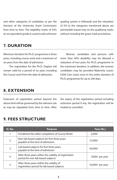and other categories of candidates as per the decision of the University Grant Commission from time to time. The eligibility marks of 55% (or an equivalent grade in a point scale wherever grading system is followed) and the relaxation of 5% to the categories mentioned above are permissible based only on the qualifying marks without including the grace mark procedures.

#### **7. DURATION**

Minimum duration for Ph.D. programme is three years, including course work and a maximum of six years from the date of admission.

The registration for the Ph.D. Degree will remain valid for a period of six years including the Course work from the date of admission.

Women candidates and persons with more than 40% disability may be allowed a relaxation of two years for Ph.D. programme in the maximum duration. In addition, the women candidates may be provided Maternity Leave/ Child Care Leave once in the entire duration of Ph.D. programme for up to 240 days.

#### **8. EXTENSION**

Extension of registration period beyond the above limit will be governed by the relevant rule as may be stipulated from time to time. After the expiry of the registration period including extension period if any, the registration will be treated as cancelled.

| SI. No.        | <b>Purpose</b>                                                                             | Fees (Rs.)        |
|----------------|--------------------------------------------------------------------------------------------|-------------------|
|                | Enrollment fee (after completion of Course Work)                                           | $2,000/-$         |
| $\overline{2}$ | Non-lab based subjects for first three years<br>payable at the time of admission           | $21,000/-$        |
| 3              | Lab based subjects for first three years<br>payable at the time of admission               | 30,000/-          |
| 4              | After three years within the validity of registration<br>period for non-lab based subjects | 7,000/- per year  |
| 5              | After three years within the validity of<br>registration period for lab based subjects     | 10,000/- per year |

#### **9. FEES STRUCTURE**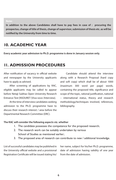**In addition to the above Candidates shall have to pay fees in case of : procuring the prospectus, change of title of thesis, change of supervisor, submission of thesis etc. as will be notified by the University from time to time.**

#### **10. ACADEMIC YEAR**

**Every academic year admission to Ph.D. programme is done in January session only.**

#### **11. ADMISSION PROCEDURES**

After notification of vacancy in official website and newspaper by the University applicants have to apply as advised.

After screening of applications by RAC, eligible applicants may be called to appear before Netaji Subhas Open University Research Entrance Test [NSOURET (Viva-voce /Interview).

At the time of interview candidates seeking admission to the Ph.D. programme have to discuss their research interest / area before the Departmental Research Committee (DRC).

Candidate should attend the interview along with a Research Proposal (hard copy and soft copy) which shall be of about 1000 (maximum 300 word per page) words, containing the proposed title, significance and scope of the topic, rational justification, national – international status, theory and research methodology/techniques involved, references, bibliography.

#### **The RAC will consider the following aspects viz. whether**

- 1. The candidate possesses the competence for the proposed research;
- 2. The research work can be suitably undertaken by various School of Studies as mentioned earlier;
- 3. The proposed area of research can contribute to new / additional knowledge.

List of successful candidates may be published in the University official website and a provisional Registration Certificate will be issued stating his/

her name, subject for his/her Ph.D. programme, date of admission having validity of one year from the date of admission.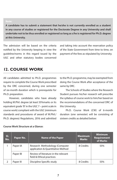#### **Note:**

**A candidate has to submit a statement that he/she is not currently enrolled as a student in any course of studies or registered for the Doctorate Degree in any University and shall undertake not to be thus enrolled or registered so long as s/he is registered for Ph.D. degree at this University.**

The admission will be based on the criteria notified by the University keeping in view the guideline/norms in this regard issued by the UGC and other statutory bodies concerned and taking into account the reservation policy of the State Government from time to time, on payment of the fees as stipulated by University.

#### **12. COURSE WORK**

All candidates admitted to Ph.D. programmes require to complete the Course Work prescribed by the DRC concerned, during one semester of six-month duration which is prerequisite for Ph.D. preparation.

However, candidates who have already holding M.Phil. degree (at least 55%marks or its equivalent grade 'B' in the UGC 7 – point scale in course work) compliant with the UGC (minimum standards and procedures of award of M.Phil./ Ph.D. degrees) Regulations, 2016 and admitted to the Ph.D. programme, may be exempted from doing the Course Work after acceptance of the same by DRC.

The Schools of Studies where the Research Student pursues his/her research will prescribe the syllabus of course work to him/her based on the recommendations of the concerned DRC of this University.

Ph.D. Course Work (CW) of 6-month duration (one semester) will be consisting of sixteen credits as detailed below:

| SI.<br>No. | Paper No. | <b>Name of the Paper</b>                                            | <b>Maximum</b><br><b>Marks</b> | <b>Minimum</b><br><b>Requirement</b><br>of Marks |
|------------|-----------|---------------------------------------------------------------------|--------------------------------|--------------------------------------------------|
|            | Paper IA  | Research Methodology (Computer<br>application & Quantitative Method | 8 Credits                      | 55%                                              |
|            | Paper IB  | Review of literature in the relevant<br>field & Ethical practices   |                                |                                                  |
|            | Paper III | Discipline Specific study                                           | 8 Credits                      | 55%                                              |

#### **Course Work Structure at a Glance:**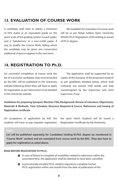#### **13. EVALUATION OF COURSE WORK**

A candidate shall have to obtain a minimum of 55% marks or an equivalent grade on the point scale of the grading system in each paper, and a 'Satisfactory' in a non-credit paper, if any, to qualify the Course Work, failing which the candidate may be given one consecutive additional chance to appear in the next term.

All modalities for evaluation of course work will be as per Netaji Subhas Open University (NSOU) Ph.D. Regulations 2018 relating to award of Ph.D. degree.

#### **14. REGISTRATION TO Ph.D.**

On successful completion of course work the list of successful candidates duly recommended by the RAC will be published in the University website following which they will have to apply for registration as per instructions to be detailed in the University website.

The application shall be supported by six copies of the Synopsis of the proposed research as per guidelines detailed below, which shall ordinarily not exceed 1500 words, and duly countersigned by the Supervisor and Joint Supervisor, if any.

**Guidelines for preparing Synopsis: Mention Title, Background, Review of Literature, Objective(s), Materials & Methods, Time Schedule, Resource Required & Source, References and Issuing of Registration certificate** 

On acceptance of application by RAC the students will have to pay requisite registration fee upon which students will be issued a Registration Certificate by the University.

#### **Note:**

**List will be published separately for Candidates holding M.Phil. degree (as mentioned in "Course Work" section) and are exempted from course work by the RAC. They also have to apply for registration as sated above.**

#### **READ BEFORE REGISTATION TO PH.D.:**

- $\Box$  In case of failure to complete all modalities related to admission within the prescribed time, the application shall be deemed to have been cancelled.
- A provisionally enrolled Ph.D. student required to complete his/her Ph.D. registration within one month from the date of publication of his/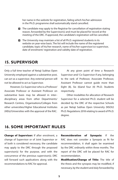her name in the website for registration, failing which his/her admission in the Ph.D. programme shall automatically stand cancelled.

- $\Box$  The candidate may apply to the Registrar for cancellation of registration stating reason, forwarded by the Supervisor(s) and must be placed for record at the meeting of the DRC. If approved, the candidate's registration will be cancelled.
- $\blacksquare$  The University may maintain a list of all Ph.D. registered students in its website on year-wise basis. The list will include the name of the registered candidate, topic of his/her research, name of his/her supervisor/co-supervisor, date of enrolment/ registration and validity date of registration.

#### **15. SUPERVISOR**

Only a full time teacher of Netaji Subhas Open University employed against a substantive post, can act as a supervisor. Any external person will not be allowed to act as Supervisor.

However, Co-Supervisor who is a Professor/ Associate Professor or Assistant Professor on substantive basis may be allowed in inter– disciplinary areas from other Departments/ Research Centres, Organisations/Colleges from other universities/Higher Educational Institutes (HEIs)/Universities with the approval of the RAC.

At any given point of time a Research Supervisor and/ Co-Supervisor if any, belonging to the rank of Professor, Associate Professor, Assistant Professor cannot guide more than Eight (8), Six (6)and four (4) Ph.D. Students respectively.

Other modalities for allocation of Research Supervisor for a selected Ph.D. student will be decided by the DRC of the respective Schools as per Netaji Subhas Open University (NSOU) Ph.D. Regulations 2018 relating to award of Ph.D. degree.

#### **16. SOME IMPORTANT RULES**

Change of Supervisor: If after enrolment, a change of Supervisor or of Joint Supervisor or of both is considered necessary, the candidate may apply to the DRC through the proposed supervisor(s) for the purpose, and with the concurrence of the previous supervisor(s). DRC will forward such applications along with the recommendations to RAC for approval.

Reconsideration of Synopsis: If the RAC does not consider a Synopsis as fit for recommendation, it shall again be examined by the DRC ordinarily within three months. The report of the DRC will be placed for RAC for recommendation.

Modification/Change of Title: The title of the thesis and the synopsis may be modified, if necessary, by the student and duly forwarded by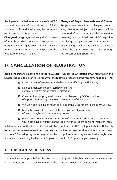the Supervisor with due concurrence of the DRC and with approval of the chairperson of RAC. However, such modification may be permitted within one year of Registration.

Change of Language: Normally the language of the thesis shall be English (except Ph.D. programme in Bengali) unless the RAC allowed to use language other than English on the request of the Ph.D. student.

Change of Topic/ Research Area/ Theme/ **Subject:** No change in topic (keeping research area, theme or subject unchanged) will be permitted after six months of the registration. However, in exceptional cases, RAC may allow the change in topic after six months. In case of major change, such as research area, theme or subject the candidate will need to go through the process of admission afresh.

#### **17. CANCELLATION OF REGISTRATION**

**Beside the instance mentioned in the "REGISTRATION TO PH.D." section, Ph.D. registration of a Student is liable to be cancelled for any of the following reasons on the recommendation of RAC:**

- $\blacksquare$  Non-payment of any fees as and when ever notified by the University.
- $\blacksquare$  Non-commencement of research work till the completion of 2 years after final registration.
- Consistent lack of progress in research as observed by DRC on the basis of report submitted by the research Supervisor of the Student.
- Violation of discipline, conduct and rules of the Department / School/ University.
- $\blacksquare$  Non-submission of the thesis till the completion of maximum 06 years of registration without any notice.
- Giving any false information at the time of application/ admission/ registration, which can adversely effect on the validity of the Student or his/her research work.

A letter of final notice to the Student will be issued in occurrence of any of the above reasons and total 30 working days may be given to the Student for defending his/her case in person in front of RAC, failing which the University is free to take decision and action on its own cognizance and may cancel his/her registration for Ph.D. Programme permanently.

#### **18. PROGRESS REVIEW**

Students have to appear before the DRC once in six months to make a presentation of the progress of his/her work for evaluation and further guidance after registration.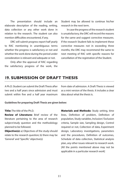The presentation should include an elaborate description of the reading, writing, data collection or any other work done in relation to the research. The student can also mention difficulties encountered, if any.

DRC will submit progress report half yearly to RAC mentioning in unambiguous terms whether the progress is satisfactory or not and whether the work done during the period under consideration is relevant and adequate or not.

Only after the approval of RAC regarding the satisfactory progress of the work, the Student may be allowed to continue his/her research in the next term.

In case the progress of the research student is unsatisfactory, the DRC will record the reasons for the same and suggest corrective measures. If the research Student fails to implement these corrective measures not in exceeding three months, the DRC may recommend the same to next meeting of RAC with specific reasons for cancellation of the registration of the Student.

#### **19. SUBMISSION OF DRAFT THESIS**

A Ph.D. Student can submit the Draft Thesis after two and a half years since admission and must submit within five and a half year maximum

from date of admission. A Draft Thesis is viewed as a mini version of the thesis. It includes a clear idea about what the thesis is.

#### **Guidelines for preparing Draft Thesis are given below:**

#### Title: The title of the Ph.D.

Review of Literature: Brief review of the literature pertaining to the area of research subject/study question and the methodology planned to be followed.

**Objective(s):** a) Objectives of the study-should relate to the research question; b) there may be 'General' and 'Specific' objective(s)

**Materials and Methods:** Study setting, time lines, Definition of problem, Definition of population, Study variables, Inclusion/ Exclusion criteria, Sample size, Sampling design, Control required or not, Collection of data, Experiment design, Laboratory investigations, parameters and the procedures, Definition of outcomes, Schedule of data collection, Statistical analysis plan, any other issues relevant to research work. [All the points mentioned above may not be applicable in a particular research work]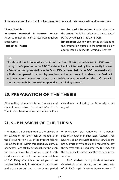**If there are any ethical issues involved, mention them and state how you intend to overcome**

Time Schedule: Resource Required & Source: Human resource, materials, financial resources required and sources Text of the Thesis:

Results and Discussion: Result along the discussion should be sufficient to be evaluated by the DRC to justify the thesis work.

**References:** Give few references pertaining to the information quoted in the protocol. Follow appropriate guidelines for writing references.

**The student has to forward six copies of the Draft Thesis preferably within 5000 words through the Supervisor to the RAC. The student will be informed by the University to make a Pre-submission presentation in the School/ Department before the DRC concerned which will also be opened to all faculty members and other research students, the feedback and comments obtained from them may suitably be incorporated into the draft thesis in consultation with the DRC within a period as specified by the RAC.**

#### **20. PREPARATION OF THE THESIS**

After getting affirmation from University end students may be allowed to submit his/her thesis. The Student have to follow all the instructions

as and when notified by the University in this regard.

#### **21. SUBMISSION OF THE THESIS**

The thesis shall be submitted to the University for evaluation not later than 06 months after the Pre-submission viva. If the Student fails to submit the thesis within this period a maximum of 02 extensions of 03 months each may be given by Hon'ble Vice-Chancellor on request with valid reasons and with due recommendation of RAC. Delay after this extended period can be permissible only in extreme circumstances and subject to not beyond maximum period of registration (as mentioned in "Duration" section). However, in such cases Student shall have to submit the Draft Thesis afresh, face the pre-submission viva again and required to pay the necessary fees. If required, the DRC may ask the candidate to reappear at the Pre-submission seminar.

Ph.D. students must publish at least one (1) research paper relating to the broad area of his Ph.D. topic in referred/peer reviewed /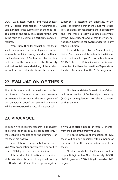UGC - CARE listed journals and make at least two (2) paper presentations in Conference / Seminar before the submission of the thesis for adjudication and produce evidence for the same in the form of presentation certificates and / or reprints.

While submitting for evaluation, the thesis shall incorporate an anti-plagiarism report as may be obtained using standard software (such as Urkund etc.). Such report shall be duly endorsed by the supervisor of the University and shall contain an undertaking of the student as well as a certificate from the research

supervisor (a) attesting the originality of the work, (b) vouching that there is not more than 10% of plagiarism (excluding the bibliography and the works already published elsewhere by the Ph.D. student) and (c) that the work has not been submitted for award of degree in any other institution.

Thesis duly signed by the Student and by his/her Supervisor shall be submitted in 05 hard copies and in soft copy (PDF format) in form of CD, DVD etc.to the University, within six(6) years but not ordinarily earlier than three(3) years from the date of enrolment for the Ph.D. programme.

#### **22. EVALUATION OF THESIS**

The Ph.D. thesis will be evaluated by his/ her Research Supervisor and two external examiners who are not in the employment of this university. Oneof the external examiners will be from outside the State of West Bengal.

All other modalities for evaluation of thesis will be as per Netaji Subhas Open University (NSOU) Ph.D. Regulations 2018 relating to award of Ph.D. degree.

#### **23. VIVA VOCE**

The open Viva Voce of the research Ph.D. student to defend the thesis may be conducted only if the evaluation reports of all the examiners on the thesis are positive.

Student have to appear before an open Viva-Voce examination and which will be notified Fifteen (15) days before the examination.

If the student fails to satisfy the examiners at the Viva-Voce, the student may be allowed by the Hon'ble Vice-Chancellor to appear again at a Viva-Voce after a period of three (3) months from the date of the first Viva-Voce.

The entire process of evaluation of Ph.D. thesis will be done generally within a period of six months from the date of submission of the thesis.

All other modalities for Viva-Voce will be as per Netaji Subhas Open University (NSOU) Ph.D. Regulations 2018 relating to award of Ph.D. degree.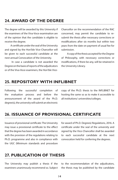#### **24. AWARD OF THE DEGREE**

The degree will be awarded by this University if the examiners of the Viva-Voce examination are of the opinion that the candidate is eligible to receive the degree.

A certificate under the seal of the University and signed by the Hon'ble Vice-Chancellor will be given to each successful candidate at the next annual Convocation of the University.

 In case a candidate is not awarded the Degree on the basis of reports of the adjudicators or of the Viva-Voce examiners, the Hon'ble ViceChancellor on the recommendation of the RAC concerned, may permit the candidate to resubmit the thesis after necessary corrections or modifications after six months but within two years from the date on payment of usual fee for submission.

A copy of the thesis accepted for the Degree of Philosophy, with necessary corrections or modifications, if there be any, will be retained in the University Library.

#### **25. REPOSITORY WITH INFLIBNET**

Following the successful completion of the evaluation process and before the announcement of the award of the Ph.D. degree(s), the university will submit an electronic

copy of the Ph.D. thesis to the INFLIBNET for hosting the same so as to make it accessible to all institutions/ universities/colleges.

#### **26. ISSUANCE OF PROVISIONAL CERTIFICATE**

Issuance of provisional certificate: The University may issue a provisional certificate to the effect that the degree has been awarded in accordance with the provision of the regulations relating to Ph.D. programme and also in compliance with the UGC (Minimum standards and procedure

for award of Ph.D. Degrees) Regulations, 2016. A certificate under the seal of the university and signed by the Vice-Chancellor shall be awarded to each successful candidate at the next convocation held for conferring the degrees.

#### **27. PUBLICATION OF THESIS**

The University may publish a thesis if the examiners unanimously recommend so. Subject to the recommendation of the adjudicators, the thesis may be published by the candidate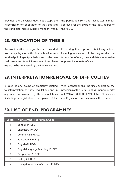provided the university does not accept the responsibility for publication of the same and the candidate makes suitable mention within

the publication so made that it was a thesis approved for the award of the Ph.D. degree of the NSOU.

#### **28. REVOCATION OF THESIS**

If at any time after the degree has been awarded to a thesis, allegation with prima facie evidence is received pointing out plagiarism, and such a case shall be referred for opinion to committee of two experts to be nominated by the RAC concerned.

If the allegation is proved, disciplinary actions including revocation of the degree shall be taken after offering the candidate a reasonable opportunity for self-defence.

#### **29. INTERPRETATION/REMOVAL OF DIFFICULTIES**

In case of any doubt or ambiguity relating to interpretation of these regulations and in any case not covered by these regulations (including de-registration), the opinion of the Vice- Chancellor shall be final, subject to the provisions of the Netaji Subhas Open University Act [W.B.ACT (XIX) OF 1997], Statute, Ordinances and Regulations and Rules made there under.

#### **30. LIST OF Ph.D. PROGRAMMES**

| SI. No. | <b>Name of the Programme, Code</b>   |
|---------|--------------------------------------|
| 1       | Bengali (PHDBG)                      |
| 2       | Chemistry (PHDCH)                    |
| 3       | Commerce (PHDCO)                     |
| 4       | Education (PHDED)                    |
| 5       | English (PHDEG)                      |
| 6       | English Language Teaching (PHDLT)    |
| 7       | Geography (PHDGR)                    |
| 8       | History (PHDHI)                      |
| 9       | Library& Information Science (PHDLS) |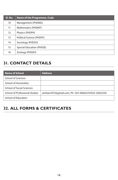| SI. No.           | <b>Name of the Programme, Code</b> |
|-------------------|------------------------------------|
| 10 <sup>°</sup>   | Management (PHDMG)                 |
| 11                | Mathematics (PHDMT)                |
| $12 \overline{ }$ | Physics (PHDPH)                    |
| 13                | Political Science (PHDPS)          |
| 14                | Sociology (PHDSO)                  |
| 15                | <b>Special Education (PHDSE)</b>   |
| 16                | Zoology (PHDZO)                    |

#### **31. CONTACT DETAILS**

| Name of School                        | <b>Address</b>                                       |
|---------------------------------------|------------------------------------------------------|
| School of Sciences                    |                                                      |
| <b>School of Humanities</b>           |                                                      |
| <b>School of Social Sciences</b>      |                                                      |
| <b>School of Professional Studies</b> | anirban1972@gmail.com, Ph- 033 40663210/033 25822529 |
| School of Education                   |                                                      |

## **32. ALL FORMS & CERTIFICATES**